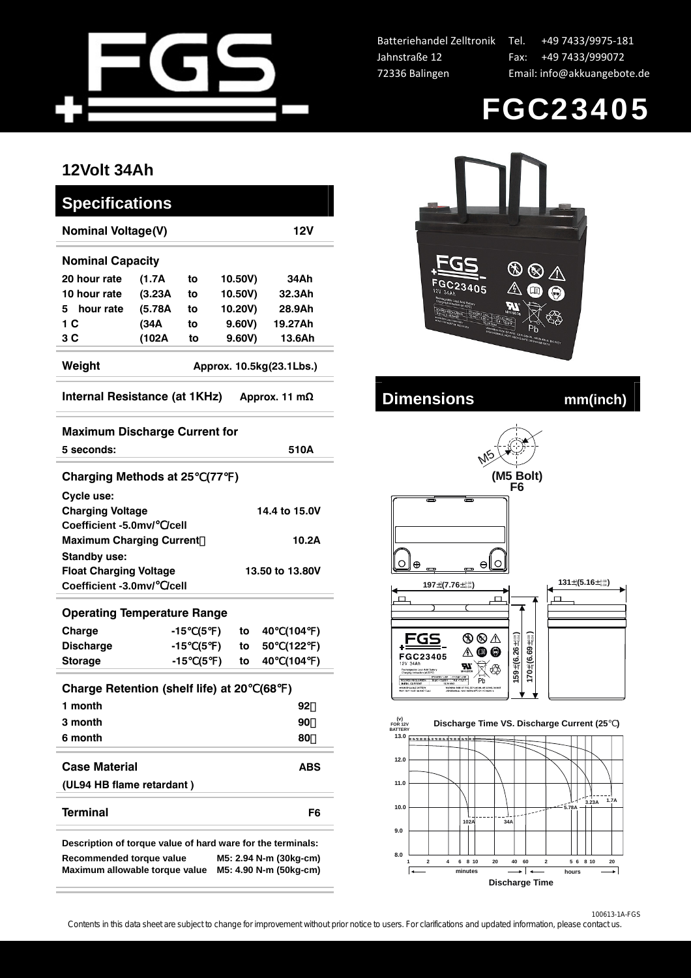

Batteriehandel Zelltronik Jahnstraße 12 72336 Balingen

Tel. +49 7433/9975-181 Fax: +49 7433/999072 Email: info@akkuangebote.de



## **12Volt 34Ah**

| Specifications                                 |         |    |         |         |  |  |  |  |  |  |  |
|------------------------------------------------|---------|----|---------|---------|--|--|--|--|--|--|--|
| <b>Nominal Voltage(V)</b><br>12V               |         |    |         |         |  |  |  |  |  |  |  |
| <b>Nominal Capacity</b>                        |         |    |         |         |  |  |  |  |  |  |  |
| 20 hour rate                                   | (1.7A   | to | 10.50V) | 34Ah    |  |  |  |  |  |  |  |
| 10 hour rate                                   | (3.23A) | to | 10.50V) | 32.3Ah  |  |  |  |  |  |  |  |
| hour rate<br>5.                                | (5.78A) | to | 10.20V) | 28.9Ah  |  |  |  |  |  |  |  |
| 1 C                                            | (34A    | to | 9,60V   | 19.27Ah |  |  |  |  |  |  |  |
| 3 C                                            | (102A   | to | 9,60V   | 13.6Ah  |  |  |  |  |  |  |  |
| Weight<br>Approx. 10.5kg(23.1Lbs.)             |         |    |         |         |  |  |  |  |  |  |  |
| Internal Resistance (at 1KHz)<br>Approx. 11 mΩ |         |    |         |         |  |  |  |  |  |  |  |

| <b>Maximum Discharge Current for</b>                                                                        |       |                 |               |    |               |      |           |  |  |
|-------------------------------------------------------------------------------------------------------------|-------|-----------------|---------------|----|---------------|------|-----------|--|--|
| 5 seconds:                                                                                                  |       |                 |               |    |               | 510A |           |  |  |
| <b>Charging Methods at 25</b>                                                                               |       |                 | (77)          |    |               |      |           |  |  |
| Cycle use:                                                                                                  |       |                 |               |    |               |      |           |  |  |
| <b>Charging Voltage</b>                                                                                     |       |                 |               |    | 14.4 to 15.0V |      |           |  |  |
| Coefficient -5.0mv/ /cell                                                                                   |       |                 |               |    |               |      |           |  |  |
| <b>Maximum Charging Current</b><br>10.2A                                                                    |       |                 |               |    |               |      |           |  |  |
| <b>Standby use:</b>                                                                                         |       |                 |               |    |               |      |           |  |  |
| <b>Float Charging Voltage</b>                                                                               |       | 13.50 to 13.80V |               |    |               |      |           |  |  |
| Coefficient -3.0mv/ /cell                                                                                   |       |                 |               |    |               |      |           |  |  |
| <b>Operating Temperature Range</b>                                                                          |       |                 |               |    |               |      |           |  |  |
| Charge                                                                                                      | -15   | (5              | $\rightarrow$ | to | 40 -          | (104 | $\lambda$ |  |  |
| <b>Discharge</b>                                                                                            | $-15$ | (5              | $\lambda$     | to | 50            | (122 | $\lambda$ |  |  |
| <b>Storage</b>                                                                                              | -15   | (5)             |               | to | 40            | (104 | $\lambda$ |  |  |
| <b>Charge Retention (shelf life) at 20</b><br>(68<br>$\rightarrow$                                          |       |                 |               |    |               |      |           |  |  |
| 1 month                                                                                                     |       |                 |               |    |               | 92   |           |  |  |
| 3 month                                                                                                     |       |                 |               |    | 90            |      |           |  |  |
| 6 month                                                                                                     |       |                 |               |    |               | 80   |           |  |  |
| <b>Case Material</b>                                                                                        |       |                 |               |    |               | ABS  |           |  |  |
| (UL94 HB flame retardant)                                                                                   |       |                 |               |    |               |      |           |  |  |
|                                                                                                             |       |                 |               |    |               |      |           |  |  |
| <b>Terminal</b>                                                                                             |       |                 |               |    |               |      | F6        |  |  |
| Description of torque value of hard ware for the terminals:                                                 |       |                 |               |    |               |      |           |  |  |
| Recommended torque value<br>M5: 2.94 N-m (30kg-cm)<br>Maximum allowable torque value M5: 4.90 N-m (50kg-cm) |       |                 |               |    |               |      |           |  |  |



## **Internal Resistance (Burnal Proximal Proximal Proximal Proximal Proximal Proximal Proximal Proximal Proximal Proximal Proximal Proximal Proximal Proximal Proximal Proximal Proximal Proximal Proximal Proximal Proximal Prox**





100613-1A-FGS